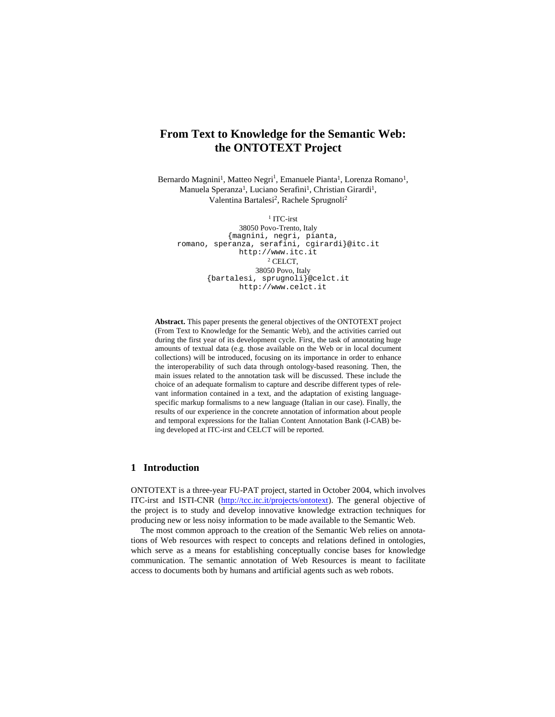# **From Text to Knowledge for the Semantic Web: the ONTOTEXT Project**

Bernardo Magnini<sup>1</sup>, Matteo Negri<sup>1</sup>, Emanuele Pianta<sup>1</sup>, Lorenza Romano<sup>1</sup>, Manuela Speranza<sup>1</sup>, Luciano Serafini<sup>1</sup>, Christian Girardi<sup>1</sup>, Valentina Bartalesi<sup>2</sup>, Rachele Sprugnoli<sup>2</sup>

1 ITC-irst

38050 Povo-Trento, Italy {magnini, negri, pianta, romano, speranza, serafini, cgirardi}@itc.it http://www.itc.it 2 CELCT, 38050 Povo, Italy {bartalesi, sprugnoli}@celct.it http://www.celct.it

**Abstract.** This paper presents the general objectives of the ONTOTEXT project (From Text to Knowledge for the Semantic Web), and the activities carried out during the first year of its development cycle. First, the task of annotating huge amounts of textual data (e.g. those available on the Web or in local document collections) will be introduced, focusing on its importance in order to enhance the interoperability of such data through ontology-based reasoning. Then, the main issues related to the annotation task will be discussed. These include the choice of an adequate formalism to capture and describe different types of relevant information contained in a text, and the adaptation of existing languagespecific markup formalisms to a new language (Italian in our case). Finally, the results of our experience in the concrete annotation of information about people and temporal expressions for the Italian Content Annotation Bank (I-CAB) being developed at ITC-irst and CELCT will be reported.

# **1 Introduction**

ONTOTEXT is a three-year FU-PAT project, started in October 2004, which involves ITC-irst and ISTI-CNR (http://tcc.itc.it/projects/ontotext). The general objective of the project is to study and develop innovative knowledge extraction techniques for producing new or less noisy information to be made available to the Semantic Web.

The most common approach to the creation of the Semantic Web relies on annotations of Web resources with respect to concepts and relations defined in ontologies, which serve as a means for establishing conceptually concise bases for knowledge communication. The semantic annotation of Web Resources is meant to facilitate access to documents both by humans and artificial agents such as web robots.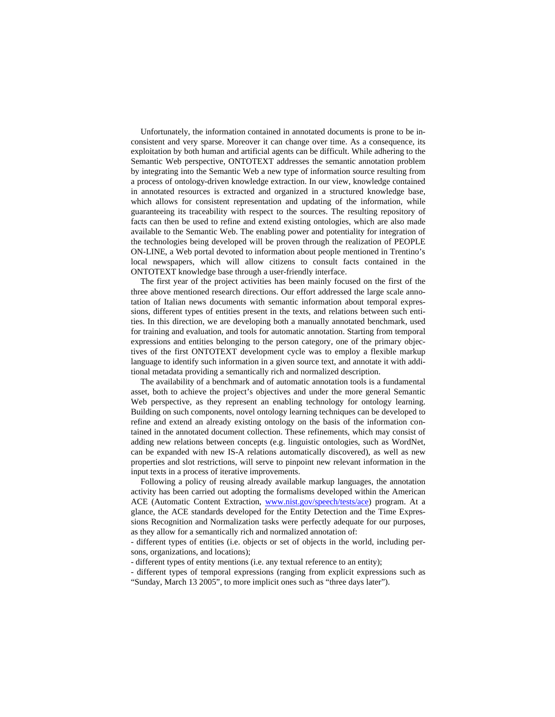Unfortunately, the information contained in annotated documents is prone to be inconsistent and very sparse. Moreover it can change over time. As a consequence, its exploitation by both human and artificial agents can be difficult. While adhering to the Semantic Web perspective, ONTOTEXT addresses the semantic annotation problem by integrating into the Semantic Web a new type of information source resulting from a process of ontology-driven knowledge extraction. In our view, knowledge contained in annotated resources is extracted and organized in a structured knowledge base, which allows for consistent representation and updating of the information, while guaranteeing its traceability with respect to the sources. The resulting repository of facts can then be used to refine and extend existing ontologies, which are also made available to the Semantic Web. The enabling power and potentiality for integration of the technologies being developed will be proven through the realization of PEOPLE ON-LINE, a Web portal devoted to information about people mentioned in Trentino's local newspapers, which will allow citizens to consult facts contained in the ONTOTEXT knowledge base through a user-friendly interface.

The first year of the project activities has been mainly focused on the first of the three above mentioned research directions. Our effort addressed the large scale annotation of Italian news documents with semantic information about temporal expressions, different types of entities present in the texts, and relations between such entities. In this direction, we are developing both a manually annotated benchmark, used for training and evaluation, and tools for automatic annotation. Starting from temporal expressions and entities belonging to the person category, one of the primary objectives of the first ONTOTEXT development cycle was to employ a flexible markup language to identify such information in a given source text, and annotate it with additional metadata providing a semantically rich and normalized description.

The availability of a benchmark and of automatic annotation tools is a fundamental asset, both to achieve the project's objectives and under the more general Semantic Web perspective, as they represent an enabling technology for ontology learning. Building on such components, novel ontology learning techniques can be developed to refine and extend an already existing ontology on the basis of the information contained in the annotated document collection. These refinements, which may consist of adding new relations between concepts (e.g. linguistic ontologies, such as WordNet, can be expanded with new IS-A relations automatically discovered), as well as new properties and slot restrictions, will serve to pinpoint new relevant information in the input texts in a process of iterative improvements.

Following a policy of reusing already available markup languages, the annotation activity has been carried out adopting the formalisms developed within the American ACE (Automatic Content Extraction, www.nist.gov/speech/tests/ace) program. At a glance, the ACE standards developed for the Entity Detection and the Time Expressions Recognition and Normalization tasks were perfectly adequate for our purposes, as they allow for a semantically rich and normalized annotation of:

- different types of entities (i.e. objects or set of objects in the world, including persons, organizations, and locations);

- different types of entity mentions (i.e. any textual reference to an entity);

- different types of temporal expressions (ranging from explicit expressions such as "Sunday, March 13 2005", to more implicit ones such as "three days later").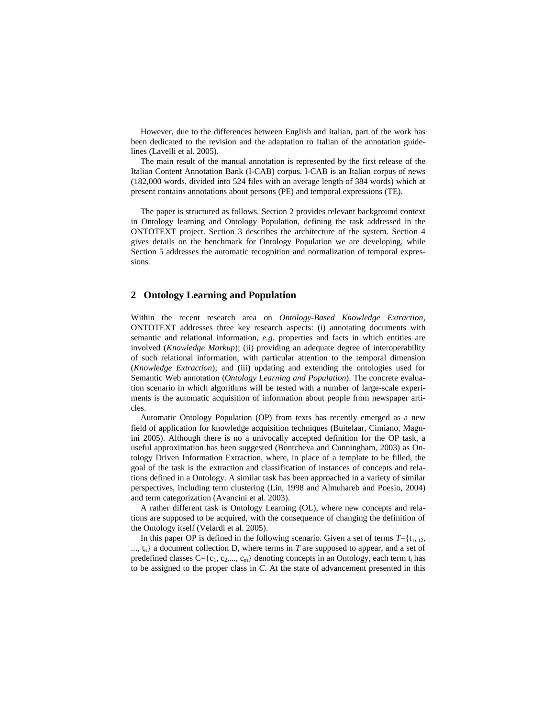However, due to the differences between English and Italian, part of the work has been dedicated to the revision and the adaptation to Italian of the annotation guidelines (Lavelli et al. 2005).

The main result of the manual annotation is represented by the first release of the Italian Content Annotation Bank (I-CAB) corpus. I-CAB is an Italian corpus of news (182,000 words, divided into 524 files with an average length of 384 words) which at present contains annotations about persons (PE) and temporal expressions (TE).

The paper is structured as follows. Section 2 provides relevant background context in Ontology learning and Ontology Population, defining the task addressed in the ONTOTEXT project. Section 3 describes the architecture of the system. Section 4 gives details on the benchmark for Ontology Population we are developing, while Section 5 addresses the automatic recognition and normalization of temporal expressions.

# **2 Ontology Learning and Population**

Within the recent research area on *Ontology-Based Knowledge Extraction*, ONTOTEXT addresses three key research aspects: (i) annotating documents with semantic and relational information, *e.g.* properties and facts in which entities are involved (*Knowledge Markup*); (ii) providing an adequate degree of interoperability of such relational information, with particular attention to the temporal dimension (*Knowledge Extraction*); and (iii) updating and extending the ontologies used for Semantic Web annotation (*Ontology Learning and Population*). The concrete evaluation scenario in which algorithms will be tested with a number of large-scale experiments is the automatic acquisition of information about people from newspaper articles.

Automatic Ontology Population (OP) from texts has recently emerged as a new field of application for knowledge acquisition techniques (Buitelaar, Cimiano, Magnini 2005). Although there is no a univocally accepted definition for the OP task, a useful approximation has been suggested (Bontcheva and Cunningham, 2003) as Ontology Driven Information Extraction, where, in place of a template to be filled, the goal of the task is the extraction and classification of instances of concepts and relations defined in a Ontology. A similar task has been approached in a variety of similar perspectives, including term clustering (Lin, 1998 and Almuhareb and Poesio, 2004) and term categorization (Avancini et al. 2003).

A rather different task is Ontology Learning (OL), where new concepts and relations are supposed to be acquired, with the consequence of changing the definition of the Ontology itself (Velardi et al. 2005).

In this paper OP is defined in the following scenario. Given a set of terms  $T = \{t_1, t_2, t_3, t_4, t_5, t_6, t_7, t_8, t_9, t_1, t_2, t_3, t_4, t_6, t_7, t_8, t_9, t_9, t_1, t_2, t_3, t_4, t_6, t_7, t_8, t_9, t_9, t_{10}, t_{11}, t_{12}, t_{13}, t_{14}, t_{15}, t_{$ ..., t<sub>n</sub>} a document collection D, where terms in *T* are supposed to appear, and a set of predefined classes  $C = \{c_1, c_2, ..., c_m\}$  denoting concepts in an Ontology, each term  $t_i$  has to be assigned to the proper class in *C*. At the state of advancement presented in this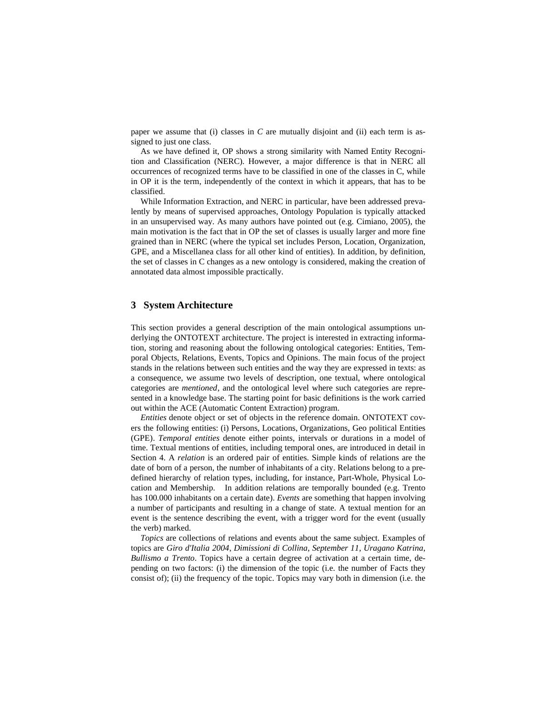paper we assume that (i) classes in *C* are mutually disjoint and (ii) each term is assigned to just one class.

As we have defined it, OP shows a strong similarity with Named Entity Recognition and Classification (NERC). However, a major difference is that in NERC all occurrences of recognized terms have to be classified in one of the classes in C, while in OP it is the term, independently of the context in which it appears, that has to be classified.

While Information Extraction, and NERC in particular, have been addressed prevalently by means of supervised approaches, Ontology Population is typically attacked in an unsupervised way. As many authors have pointed out (e.g. Cimiano, 2005), the main motivation is the fact that in OP the set of classes is usually larger and more fine grained than in NERC (where the typical set includes Person, Location, Organization, GPE, and a Miscellanea class for all other kind of entities). In addition, by definition, the set of classes in C changes as a new ontology is considered, making the creation of annotated data almost impossible practically.

# **3 System Architecture**

This section provides a general description of the main ontological assumptions underlying the ONTOTEXT architecture. The project is interested in extracting information, storing and reasoning about the following ontological categories: Entities, Temporal Objects, Relations, Events, Topics and Opinions. The main focus of the project stands in the relations between such entities and the way they are expressed in texts: as a consequence, we assume two levels of description, one textual, where ontological categories are *mentioned*, and the ontological level where such categories are represented in a knowledge base. The starting point for basic definitions is the work carried out within the ACE (Automatic Content Extraction) program.

*Entities* denote object or set of objects in the reference domain. ONTOTEXT covers the following entities: (i) Persons, Locations, Organizations, Geo political Entities (GPE). *Temporal entities* denote either points, intervals or durations in a model of time. Textual mentions of entities, including temporal ones, are introduced in detail in Section 4. A *relation* is an ordered pair of entities. Simple kinds of relations are the date of born of a person, the number of inhabitants of a city. Relations belong to a predefined hierarchy of relation types, including, for instance, Part-Whole, Physical Location and Membership. In addition relations are temporally bounded (e.g. Trento has 100.000 inhabitants on a certain date). *Events* are something that happen involving a number of participants and resulting in a change of state. A textual mention for an event is the sentence describing the event, with a trigger word for the event (usually the verb) marked.

*Topics* are collections of relations and events about the same subject. Examples of topics are *Giro d'Italia 2004*, *Dimissioni di Collina*, *September 11*, *Uragano Katrina*, *Bullismo a Trento*. Topics have a certain degree of activation at a certain time, depending on two factors: (i) the dimension of the topic (i.e. the number of Facts they consist of); (ii) the frequency of the topic. Topics may vary both in dimension (i.e. the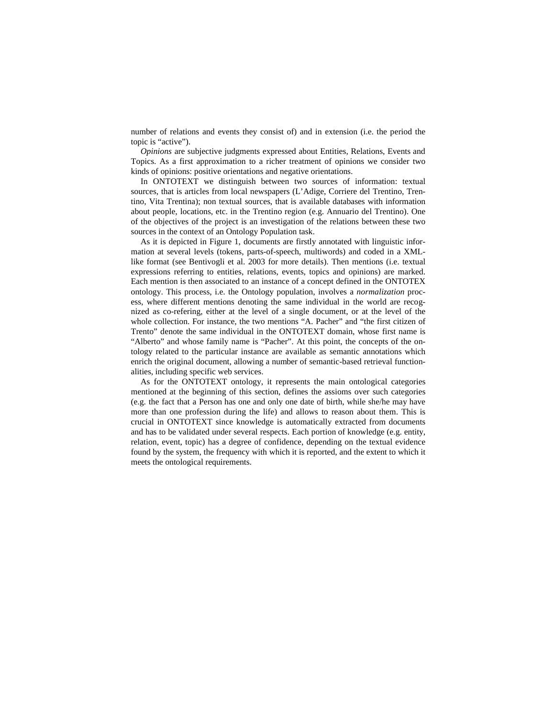number of relations and events they consist of) and in extension (i.e. the period the topic is "active").

*Opinions* are subjective judgments expressed about Entities, Relations, Events and Topics. As a first approximation to a richer treatment of opinions we consider two kinds of opinions: positive orientations and negative orientations.

In ONTOTEXT we distinguish between two sources of information: textual sources, that is articles from local newspapers (L'Adige, Corriere del Trentino, Trentino, Vita Trentina); non textual sources, that is available databases with information about people, locations, etc. in the Trentino region (e.g. Annuario del Trentino). One of the objectives of the project is an investigation of the relations between these two sources in the context of an Ontology Population task.

As it is depicted in Figure 1, documents are firstly annotated with linguistic information at several levels (tokens, parts-of-speech, multiwords) and coded in a XMLlike format (see Bentivogli et al. 2003 for more details). Then mentions (i.e. textual expressions referring to entities, relations, events, topics and opinions) are marked. Each mention is then associated to an instance of a concept defined in the ONTOTEX ontology. This process, i.e. the Ontology population, involves a *normalization* process, where different mentions denoting the same individual in the world are recognized as co-refering, either at the level of a single document, or at the level of the whole collection. For instance, the two mentions "A. Pacher" and "the first citizen of Trento" denote the same individual in the ONTOTEXT domain, whose first name is "Alberto" and whose family name is "Pacher". At this point, the concepts of the ontology related to the particular instance are available as semantic annotations which enrich the original document, allowing a number of semantic-based retrieval functionalities, including specific web services.

As for the ONTOTEXT ontology, it represents the main ontological categories mentioned at the beginning of this section, defines the assioms over such categories (e.g. the fact that a Person has one and only one date of birth, while she/he may have more than one profession during the life) and allows to reason about them. This is crucial in ONTOTEXT since knowledge is automatically extracted from documents and has to be validated under several respects. Each portion of knowledge (e.g. entity, relation, event, topic) has a degree of confidence, depending on the textual evidence found by the system, the frequency with which it is reported, and the extent to which it meets the ontological requirements.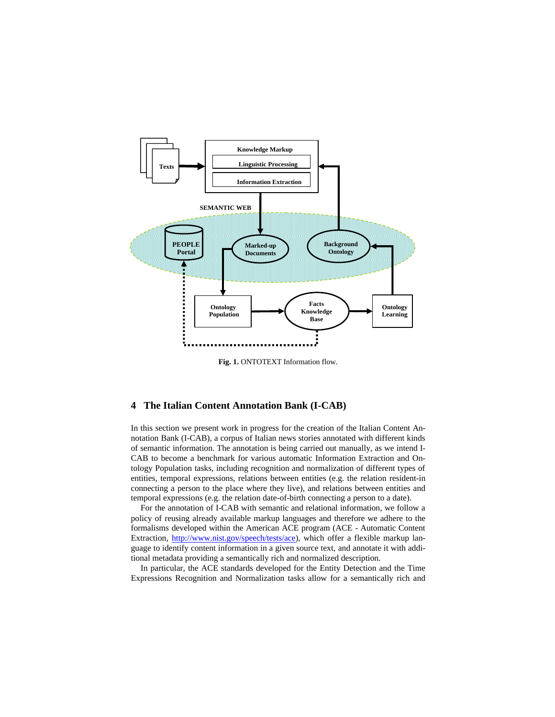

**Fig. 1.** ONTOTEXT Information flow.

# **4 The Italian Content Annotation Bank (I-CAB)**

In this section we present work in progress for the creation of the Italian Content Annotation Bank (I-CAB), a corpus of Italian news stories annotated with different kinds of semantic information. The annotation is being carried out manually, as we intend I-CAB to become a benchmark for various automatic Information Extraction and Ontology Population tasks, including recognition and normalization of different types of entities, temporal expressions, relations between entities (e.g. the relation resident-in connecting a person to the place where they live), and relations between entities and temporal expressions (e.g. the relation date-of-birth connecting a person to a date).

For the annotation of I-CAB with semantic and relational information, we follow a policy of reusing already available markup languages and therefore we adhere to the formalisms developed within the American ACE program (ACE - Automatic Content Extraction, http://www.nist.gov/speech/tests/ace), which offer a flexible markup language to identify content information in a given source text, and annotate it with additional metadata providing a semantically rich and normalized description.

In particular, the ACE standards developed for the Entity Detection and the Time Expressions Recognition and Normalization tasks allow for a semantically rich and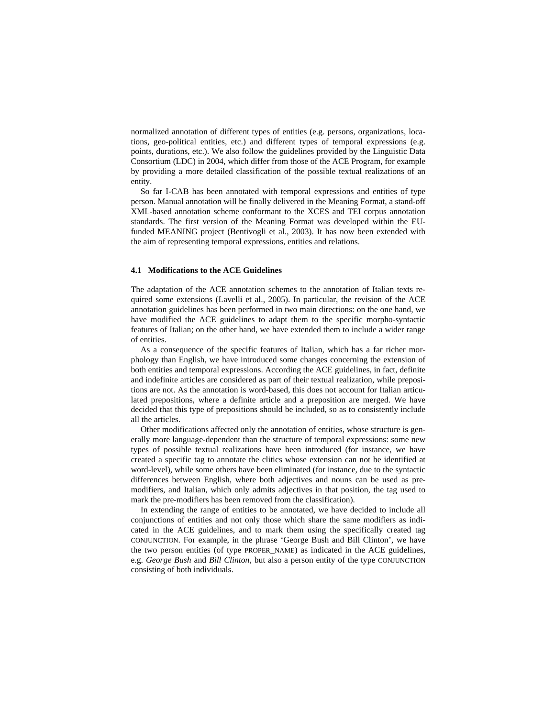normalized annotation of different types of entities (e.g. persons, organizations, locations, geo-political entities, etc.) and different types of temporal expressions (e.g. points, durations, etc.). We also follow the guidelines provided by the Linguistic Data Consortium (LDC) in 2004, which differ from those of the ACE Program, for example by providing a more detailed classification of the possible textual realizations of an entity.

So far I-CAB has been annotated with temporal expressions and entities of type person. Manual annotation will be finally delivered in the Meaning Format, a stand-off XML-based annotation scheme conformant to the XCES and TEI corpus annotation standards. The first version of the Meaning Format was developed within the EUfunded MEANING project (Bentivogli et al., 2003). It has now been extended with the aim of representing temporal expressions, entities and relations.

### **4.1 Modifications to the ACE Guidelines**

The adaptation of the ACE annotation schemes to the annotation of Italian texts required some extensions (Lavelli et al., 2005). In particular, the revision of the ACE annotation guidelines has been performed in two main directions: on the one hand, we have modified the ACE guidelines to adapt them to the specific morpho-syntactic features of Italian; on the other hand, we have extended them to include a wider range of entities.

As a consequence of the specific features of Italian, which has a far richer morphology than English, we have introduced some changes concerning the extension of both entities and temporal expressions. According the ACE guidelines, in fact, definite and indefinite articles are considered as part of their textual realization, while prepositions are not. As the annotation is word-based, this does not account for Italian articulated prepositions, where a definite article and a preposition are merged. We have decided that this type of prepositions should be included, so as to consistently include all the articles.

Other modifications affected only the annotation of entities, whose structure is generally more language-dependent than the structure of temporal expressions: some new types of possible textual realizations have been introduced (for instance, we have created a specific tag to annotate the clitics whose extension can not be identified at word-level), while some others have been eliminated (for instance, due to the syntactic differences between English, where both adjectives and nouns can be used as premodifiers, and Italian, which only admits adjectives in that position, the tag used to mark the pre-modifiers has been removed from the classification).

In extending the range of entities to be annotated, we have decided to include all conjunctions of entities and not only those which share the same modifiers as indicated in the ACE guidelines, and to mark them using the specifically created tag CONJUNCTION. For example, in the phrase 'George Bush and Bill Clinton', we have the two person entities (of type PROPER\_NAME) as indicated in the ACE guidelines, e.g. *George Bush* and *Bill Clinton*, but also a person entity of the type CONJUNCTION consisting of both individuals.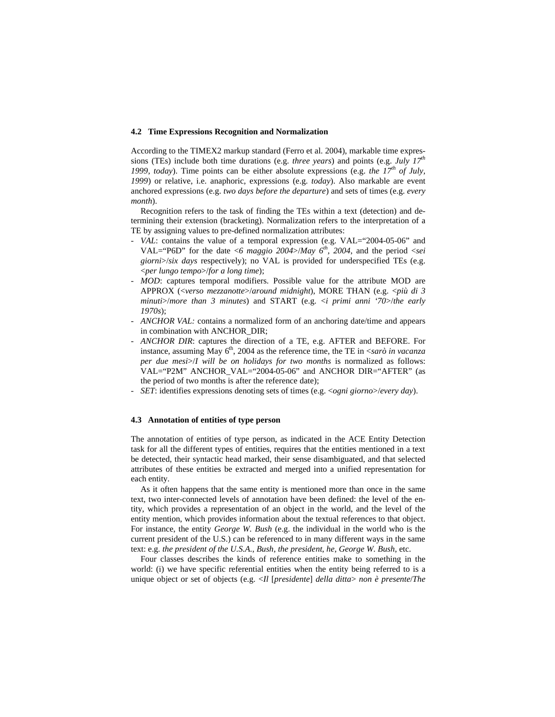#### **4.2 Time Expressions Recognition and Normalization**

According to the TIMEX2 markup standard (Ferro et al. 2004), markable time expressions (TEs) include both time durations (e.g. *three years*) and points (e.g. *July 17th* 1999, *today*). Time points can be either absolute expressions (e.g. *the 17<sup>th</sup> of July*, *1999*) or relative, i.e. anaphoric, expressions (e.g. *today*). Also markable are event anchored expressions (e.g. *two days before the departure*) and sets of times (e.g. *every month*).

Recognition refers to the task of finding the TEs within a text (detection) and determining their extension (bracketing). Normalization refers to the interpretation of a TE by assigning values to pre-defined normalization attributes:

- *VAL*: contains the value of a temporal expression (e.g. VAL="2004-05-06" and VAL="P6D" for the date <6 maggio 2004>/*May*  $6^{th}$ , 2004, and the period <*sei giorni*>/*six days* respectively); no VAL is provided for underspecified TEs (e.g. <*per lungo tempo*>/*for a long time*);
- *MOD*: captures temporal modifiers. Possible value for the attribute MOD are APPROX (<*verso mezzanotte*>/*around midnight*), MORE THAN (e.g. <*più di 3 minuti*>/*more than 3 minutes*) and START (e.g. <*i primi anni '70*>/*the early 1970s*);
- *ANCHOR VAL:* contains a normalized form of an anchoring date/time and appears in combination with ANCHOR\_DIR;
- *ANCHOR DIR*: captures the direction of a TE, e.g. AFTER and BEFORE. For instance, assuming May  $6<sup>th</sup>$ , 2004 as the reference time, the TE in  $\langle$ sarò in vacanza *per due mesi*>/*I will be on holidays for two months* is normalized as follows: VAL="P2M" ANCHOR\_VAL="2004-05-06" and ANCHOR DIR="AFTER" (as the period of two months is after the reference date);
- *SET*: identifies expressions denoting sets of times (e.g. <*ogni giorno*>/*every day*).

#### **4.3 Annotation of entities of type person**

The annotation of entities of type person, as indicated in the ACE Entity Detection task for all the different types of entities, requires that the entities mentioned in a text be detected, their syntactic head marked, their sense disambiguated, and that selected attributes of these entities be extracted and merged into a unified representation for each entity.

As it often happens that the same entity is mentioned more than once in the same text, two inter-connected levels of annotation have been defined: the level of the entity, which provides a representation of an object in the world, and the level of the entity mention, which provides information about the textual references to that object. For instance, the entity *George W. Bush* (e.g. the individual in the world who is the current president of the U.S.) can be referenced to in many different ways in the same text: e.g. *the president of the U.S.A.*, *Bush*, *the president*, *he*, *George W. Bush*, etc.

Four classes describes the kinds of reference entities make to something in the world: (i) we have specific referential entities when the entity being referred to is a unique object or set of objects (e.g. <*Il* [*presidente*] *della ditta*> *non è presente*/*The*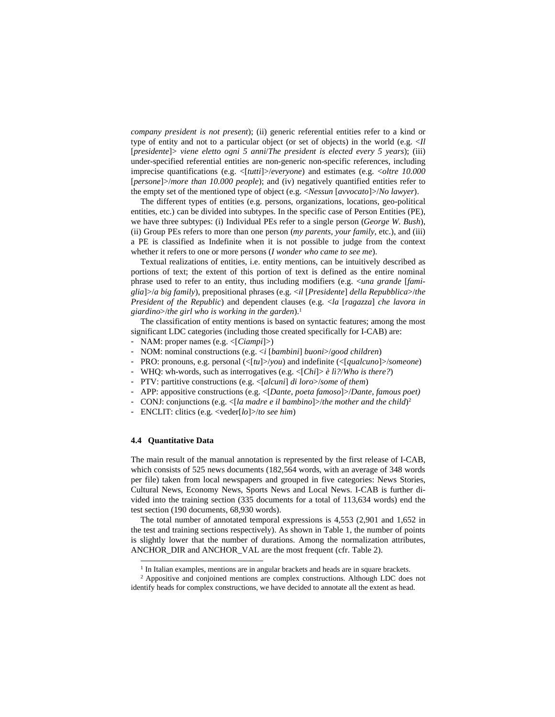*company president is not present*); (ii) generic referential entities refer to a kind or type of entity and not to a particular object (or set of objects) in the world (e.g. <*Il*  [*presidente*]> *viene eletto ogni 5 anni*/*The president is elected every 5 years*); (iii) under-specified referential entities are non-generic non-specific references, including imprecise quantifications (e.g. <[*tutti*]>/*everyone*) and estimates (e.g. <*oltre 10.000* [*persone*]>/*more than 10.000 people*); and (iv) negatively quantified entities refer to the empty set of the mentioned type of object (e.g. <*Nessun* [*avvocato*]>/*No lawyer*).

The different types of entities (e.g. persons, organizations, locations, geo-political entities, etc.) can be divided into subtypes. In the specific case of Person Entities (PE), we have three subtypes: (i) Individual PEs refer to a single person (*George W. Bush*), (ii) Group PEs refers to more than one person (*my parents, your family*, etc.), and (iii) a PE is classified as Indefinite when it is not possible to judge from the context whether it refers to one or more persons (*I wonder who came to see me*).

Textual realizations of entities, i.e. entity mentions, can be intuitively described as portions of text; the extent of this portion of text is defined as the entire nominal phrase used to refer to an entity, thus including modifiers (e.g. <*una grande* [*famiglia*]>/*a big family*), prepositional phrases (e.g. <*il* [*Presidente*] *della Repubblica*>/*the President of the Republic*) and dependent clauses (e.g. <*la* [*ragazza*] *che lavora in giardino*>/*the girl who is working in the garden*).<sup>1</sup>

The classification of entity mentions is based on syntactic features; among the most significant LDC categories (including those created specifically for I-CAB) are:

- NAM: proper names (e.g. <[*Ciampi*]>)
- NOM: nominal constructions (e.g. <*i* [*bambini*] *buoni*>/*good children*)
- PRO: pronouns, e.g. personal (<[*tu*]>/*you*) and indefinite (<[*qualcuno*]>/*someone*)
- WHQ: wh-words, such as interrogatives (e.g. <[*Chi*]> *è lì?*/*Who is there?*)
- PTV: partitive constructions (e.g. <[*alcuni*] *di loro*>/*some of them*)
- APP: appositive constructions (e.g. <[*Dante, poeta famoso*]>/*Dante, famous poet)*
- CONJ: conjunctions (e.g. <[*la madre e il bambino*]>/*the mother and the child*)<sup>2</sup>
- ENCLIT: clitics (e.g. <veder[*lo*]>/*to see him*)

# **4.4 Quantitative Data**

-

The main result of the manual annotation is represented by the first release of I-CAB, which consists of 525 news documents (182,564 words, with an average of 348 words per file) taken from local newspapers and grouped in five categories: News Stories, Cultural News, Economy News, Sports News and Local News. I-CAB is further divided into the training section (335 documents for a total of 113,634 words) end the test section (190 documents, 68,930 words).

The total number of annotated temporal expressions is 4,553 (2,901 and 1,652 in the test and training sections respectively). As shown in Table 1, the number of points is slightly lower that the number of durations. Among the normalization attributes, ANCHOR\_DIR and ANCHOR\_VAL are the most frequent (cfr. Table 2).

<sup>&</sup>lt;sup>1</sup> In Italian examples, mentions are in angular brackets and heads are in square brackets.

<sup>2</sup> Appositive and conjoined mentions are complex constructions. Although LDC does not identify heads for complex constructions, we have decided to annotate all the extent as head.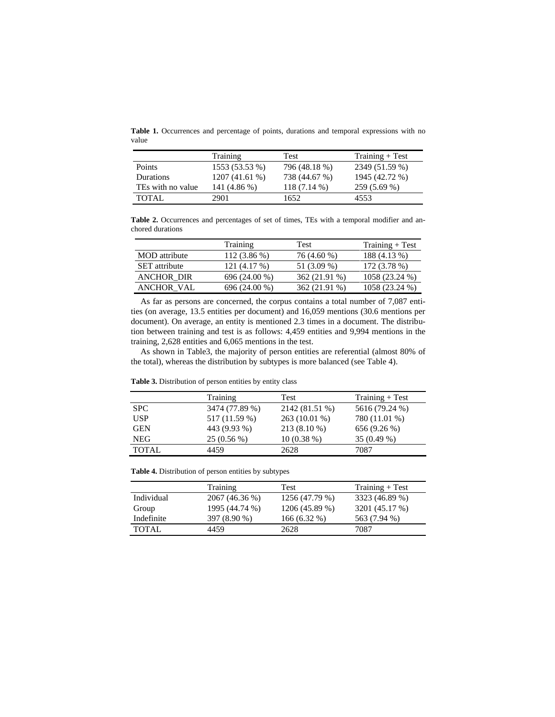**Table 1.** Occurrences and percentage of points, durations and temporal expressions with no value

|                   | Training       | Test          | $Training + Test$ |  |
|-------------------|----------------|---------------|-------------------|--|
| <b>Points</b>     | 1553 (53.53 %) | 796 (48.18 %) | 2349 (51.59 %)    |  |
| Durations         | 1207(41.61%)   | 738 (44.67 %) | 1945 (42.72 %)    |  |
| TEs with no value | 141 (4.86 %)   | 118 (7.14 %)  | 259 (5.69 %)      |  |
| TOTAL.            | 2901           | 1652          | 4553              |  |

**Table 2.** Occurrences and percentages of set of times, TEs with a temporal modifier and anchored durations

|                      | Training      | Test          | $Training + Test$ |  |  |
|----------------------|---------------|---------------|-------------------|--|--|
| <b>MOD</b> attribute | 112 (3.86 %)  | 76 (4.60 %)   | 188 (4.13 %)      |  |  |
| <b>SET</b> attribute | 121 (4.17 %)  | 51 (3.09 %)   | 172 (3.78 %)      |  |  |
| <b>ANCHOR DIR</b>    | 696 (24.00 %) | 362 (21.91 %) | 1058 (23.24 %)    |  |  |
| <b>ANCHOR VAL</b>    | 696 (24.00 %) | 362 (21.91 %) | 1058 (23.24 %)    |  |  |

As far as persons are concerned, the corpus contains a total number of 7,087 entities (on average, 13.5 entities per document) and 16,059 mentions (30.6 mentions per document). On average, an entity is mentioned 2.3 times in a document. The distribution between training and test is as follows: 4,459 entities and 9,994 mentions in the training, 2,628 entities and 6,065 mentions in the test.

As shown in Table3, the majority of person entities are referential (almost 80% of the total), whereas the distribution by subtypes is more balanced (see Table 4).

| <b>Table 5:</b> Distribution of person entries by entity class |                |                |                   |  |  |  |  |
|----------------------------------------------------------------|----------------|----------------|-------------------|--|--|--|--|
|                                                                | Training       | Test           | $Training + Test$ |  |  |  |  |
| <b>SPC</b>                                                     | 3474 (77.89 %) | 2142 (81.51 %) | 5616 (79.24 %)    |  |  |  |  |
| <b>USP</b>                                                     | 517 (11.59 %)  | $263(10.01\%)$ | 780 (11.01 %)     |  |  |  |  |
| <b>GEN</b>                                                     | 443 (9.93 %)   | 213 (8.10 %)   | 656 (9.26 %)      |  |  |  |  |
| <b>NEG</b>                                                     | $25(0.56\%)$   | $10(0.38\%)$   | $35(0.49\%)$      |  |  |  |  |

TOTAL 4459 2628 7087

**Table 3.** Distribution of person entities by entity class

**Table 4.** Distribution of person entities by subtypes

|            | Training       | Test           | $Training + Test$ |
|------------|----------------|----------------|-------------------|
| Individual | 2067 (46.36 %) | 1256 (47.79 %) | 3323 (46.89 %)    |
| Group      | 1995 (44.74 %) | 1206 (45.89 %) | 3201 (45.17 %)    |
| Indefinite | 397 (8.90 %)   | $166(6.32\%)$  | 563 (7.94 %)      |
| TOTAL      | 4459           | 2628           | 7087              |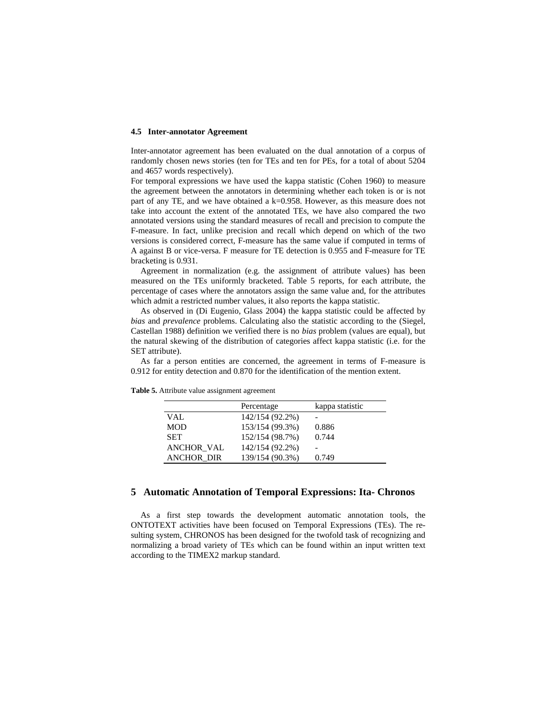#### **4.5 Inter-annotator Agreement**

Inter-annotator agreement has been evaluated on the dual annotation of a corpus of randomly chosen news stories (ten for TEs and ten for PEs, for a total of about 5204 and 4657 words respectively).

For temporal expressions we have used the kappa statistic (Cohen 1960) to measure the agreement between the annotators in determining whether each token is or is not part of any TE, and we have obtained a k=0.958. However, as this measure does not take into account the extent of the annotated TEs, we have also compared the two annotated versions using the standard measures of recall and precision to compute the F-measure. In fact, unlike precision and recall which depend on which of the two versions is considered correct, F-measure has the same value if computed in terms of A against B or vice-versa. F measure for TE detection is 0.955 and F-measure for TE bracketing is 0.931.

Agreement in normalization (e.g. the assignment of attribute values) has been measured on the TEs uniformly bracketed. Table 5 reports, for each attribute, the percentage of cases where the annotators assign the same value and, for the attributes which admit a restricted number values, it also reports the kappa statistic.

As observed in (Di Eugenio, Glass 2004) the kappa statistic could be affected by *bias* and *prevalence* problems. Calculating also the statistic according to the (Siegel, Castellan 1988) definition we verified there is no *bias* problem (values are equal), but the natural skewing of the distribution of categories affect kappa statistic (i.e. for the SET attribute).

As far a person entities are concerned, the agreement in terms of F-measure is 0.912 for entity detection and 0.870 for the identification of the mention extent.

|                   | Percentage      | kappa statistic |
|-------------------|-----------------|-----------------|
| VAL               | 142/154 (92.2%) |                 |
| <b>MOD</b>        | 153/154 (99.3%) | 0.886           |
| <b>SET</b>        | 152/154 (98.7%) | 0.744           |
| <b>ANCHOR_VAL</b> | 142/154 (92.2%) |                 |
| <b>ANCHOR DIR</b> | 139/154 (90.3%) | 0.749           |

**Table 5.** Attribute value assignment agreement

# **5 Automatic Annotation of Temporal Expressions: Ita- Chronos**

As a first step towards the development automatic annotation tools, the ONTOTEXT activities have been focused on Temporal Expressions (TEs). The resulting system, CHRONOS has been designed for the twofold task of recognizing and normalizing a broad variety of TEs which can be found within an input written text according to the TIMEX2 markup standard.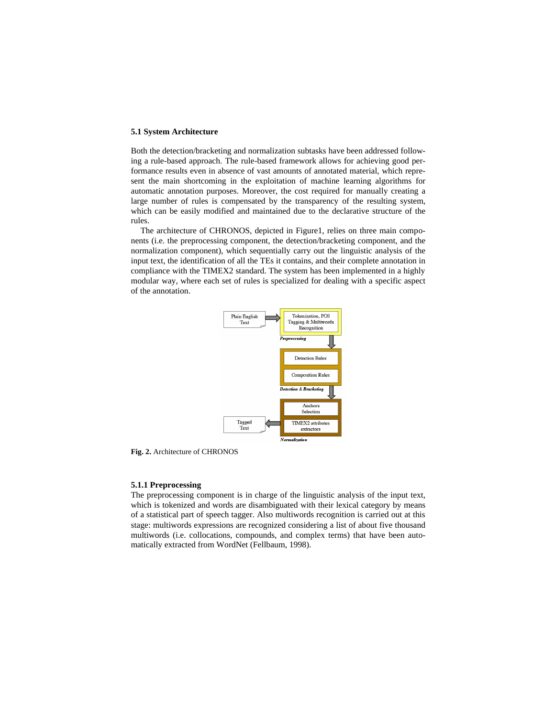### **5.1 System Architecture**

Both the detection/bracketing and normalization subtasks have been addressed following a rule-based approach. The rule-based framework allows for achieving good performance results even in absence of vast amounts of annotated material, which represent the main shortcoming in the exploitation of machine learning algorithms for automatic annotation purposes. Moreover, the cost required for manually creating a large number of rules is compensated by the transparency of the resulting system, which can be easily modified and maintained due to the declarative structure of the rules.

The architecture of CHRONOS, depicted in Figure1, relies on three main components (i.e. the preprocessing component, the detection/bracketing component, and the normalization component), which sequentially carry out the linguistic analysis of the input text, the identification of all the TEs it contains, and their complete annotation in compliance with the TIMEX2 standard. The system has been implemented in a highly modular way, where each set of rules is specialized for dealing with a specific aspect of the annotation.



**Fig. 2.** Architecture of CHRONOS

### **5.1.1 Preprocessing**

The preprocessing component is in charge of the linguistic analysis of the input text, which is tokenized and words are disambiguated with their lexical category by means of a statistical part of speech tagger. Also multiwords recognition is carried out at this stage: multiwords expressions are recognized considering a list of about five thousand multiwords (i.e. collocations, compounds, and complex terms) that have been automatically extracted from WordNet (Fellbaum, 1998).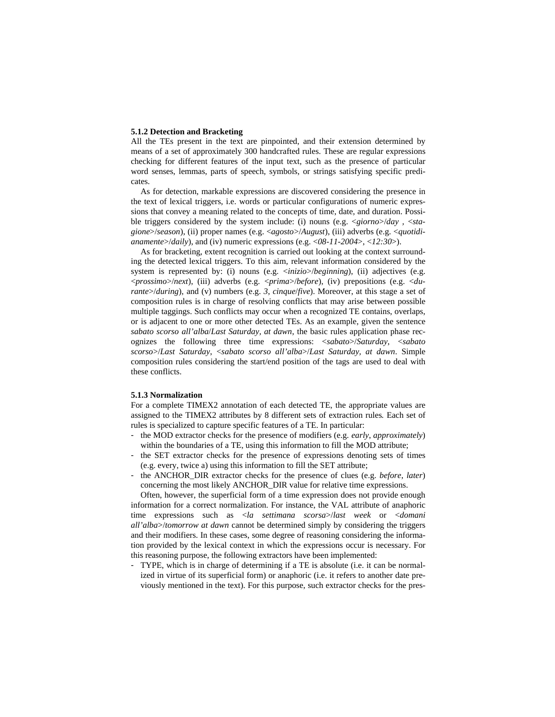### **5.1.2 Detection and Bracketing**

All the TEs present in the text are pinpointed, and their extension determined by means of a set of approximately 300 handcrafted rules. These are regular expressions checking for different features of the input text, such as the presence of particular word senses, lemmas, parts of speech, symbols, or strings satisfying specific predicates.

As for detection, markable expressions are discovered considering the presence in the text of lexical triggers, i.e. words or particular configurations of numeric expressions that convey a meaning related to the concepts of time, date, and duration. Possible triggers considered by the system include: (i) nouns (e.g. <*giorno*>/*day ,* <*stagione*>/*season*), (ii) proper names (e.g. <*agosto*>/*August*), (iii) adverbs (e.g. <*quotidianamente*>/*daily*), and (iv) numeric expressions (e.g. <*08-11-2004*>, <*12:30*>).

As for bracketing, extent recognition is carried out looking at the context surrounding the detected lexical triggers. To this aim, relevant information considered by the system is represented by: (i) nouns (e.g. <*inizio*>/*beginning*), (ii) adjectives (e.g. <*prossimo*>/*next*), (iii) adverbs (e.g. <*prima*>/*before*), (iv) prepositions (e.g. <*durante*>/*during*), and (v) numbers (e.g. *3*, *cinque*/*five*). Moreover, at this stage a set of composition rules is in charge of resolving conflicts that may arise between possible multiple taggings. Such conflicts may occur when a recognized TE contains, overlaps, or is adjacent to one or more other detected TEs. As an example, given the sentence *sabato scorso all'alba*/*Last Saturday, at dawn*, the basic rules application phase recognizes the following three time expressions: <*sabato*>/*Saturday*, <*sabato scorso*>/*Last Saturday*, <*sabato scorso all'alba*>/*Last Saturday, at dawn*. Simple composition rules considering the start/end position of the tags are used to deal with these conflicts.

# **5.1.3 Normalization**

For a complete TIMEX2 annotation of each detected TE, the appropriate values are assigned to the TIMEX2 attributes by 8 different sets of extraction rules*.* Each set of rules is specialized to capture specific features of a TE. In particular:

- the MOD extractor checks for the presence of modifiers (e.g. *early*, *approximately*) within the boundaries of a TE, using this information to fill the MOD attribute;
- the SET extractor checks for the presence of expressions denoting sets of times (e.g. every, twice a) using this information to fill the SET attribute;
- the ANCHOR\_DIR extractor checks for the presence of clues (e.g. *before*, *later*) concerning the most likely ANCHOR\_DIR value for relative time expressions.

Often, however, the superficial form of a time expression does not provide enough information for a correct normalization. For instance, the VAL attribute of anaphoric time expressions such as <*la settimana scorsa*>/*last week* or <*domani all'alba*>/*tomorrow at dawn* cannot be determined simply by considering the triggers and their modifiers. In these cases, some degree of reasoning considering the information provided by the lexical context in which the expressions occur is necessary. For this reasoning purpose, the following extractors have been implemented:

- TYPE, which is in charge of determining if a TE is absolute (i.e. it can be normalized in virtue of its superficial form) or anaphoric (i.e. it refers to another date previously mentioned in the text). For this purpose, such extractor checks for the pres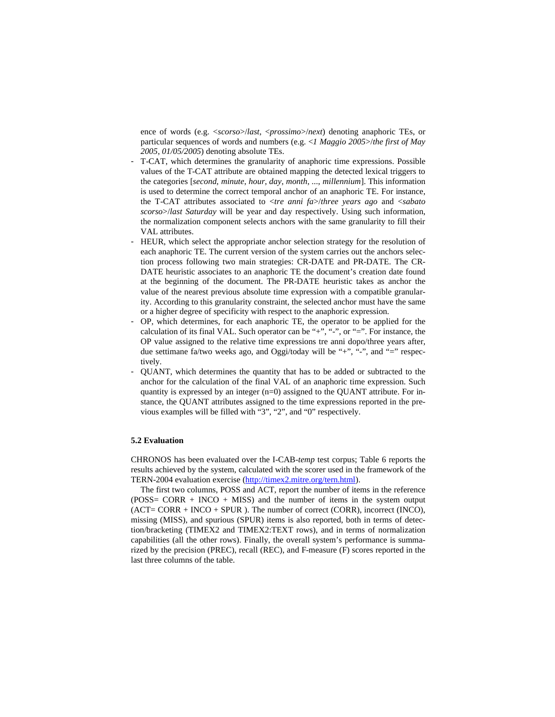ence of words (e.g. <*scorso*>/*last*, <*prossimo*>/*next*) denoting anaphoric TEs, or particular sequences of words and numbers (e.g. <*1 Maggio 2005*>/*the first of May 2005*, *01/05/2005*) denoting absolute TEs.

- T-CAT, which determines the granularity of anaphoric time expressions. Possible values of the T-CAT attribute are obtained mapping the detected lexical triggers to the categories [*second*, *minute*, *hour*, *day*, *month*, ..., *millennium*]. This information is used to determine the correct temporal anchor of an anaphoric TE. For instance, the T-CAT attributes associated to <*tre anni fa*>/*three years ago* and <*sabato scorso*>/*last Saturday* will be year and day respectively. Using such information, the normalization component selects anchors with the same granularity to fill their VAL attributes.
- HEUR, which select the appropriate anchor selection strategy for the resolution of each anaphoric TE. The current version of the system carries out the anchors selection process following two main strategies: CR-DATE and PR-DATE. The CR-DATE heuristic associates to an anaphoric TE the document's creation date found at the beginning of the document. The PR-DATE heuristic takes as anchor the value of the nearest previous absolute time expression with a compatible granularity. According to this granularity constraint, the selected anchor must have the same or a higher degree of specificity with respect to the anaphoric expression.
- OP, which determines, for each anaphoric TE, the operator to be applied for the calculation of its final VAL. Such operator can be "+", "-", or "=". For instance, the OP value assigned to the relative time expressions tre anni dopo/three years after, due settimane fa/two weeks ago, and Oggi/today will be "+", "-", and "=" respectively.
- QUANT, which determines the quantity that has to be added or subtracted to the anchor for the calculation of the final VAL of an anaphoric time expression. Such quantity is expressed by an integer  $(n=0)$  assigned to the QUANT attribute. For instance, the QUANT attributes assigned to the time expressions reported in the previous examples will be filled with "3", "2", and "0" respectively.

# **5.2 Evaluation**

CHRONOS has been evaluated over the I-CAB-*temp* test corpus; Table 6 reports the results achieved by the system, calculated with the scorer used in the framework of the TERN-2004 evaluation exercise (http://timex2.mitre.org/tern.html).

The first two columns, POSS and ACT, report the number of items in the reference  $(POSS= CORR + INCO + MISS)$  and the number of items in the system output  $(ACT = CORR + INCO + SPUR)$ . The number of correct  $(CORR)$ , incorrect  $(INCO)$ , missing (MISS), and spurious (SPUR) items is also reported, both in terms of detection/bracketing (TIMEX2 and TIMEX2:TEXT rows), and in terms of normalization capabilities (all the other rows). Finally, the overall system's performance is summarized by the precision (PREC), recall (REC), and F-measure (F) scores reported in the last three columns of the table.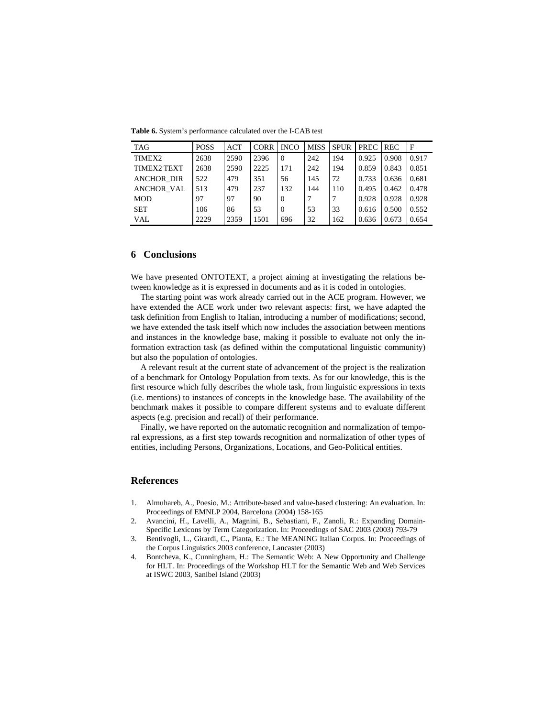**Table 6.** System's performance calculated over the I-CAB test

| <b>TAG</b>        | <b>POSS</b> | ACT  | <b>CORR</b> | <b>INCO</b> | <b>MISS</b> | <b>SPUR</b> | <b>PREC</b> | <b>REC</b> | F     |
|-------------------|-------------|------|-------------|-------------|-------------|-------------|-------------|------------|-------|
| TIMEX2            | 2638        | 2590 | 2396        | $\Omega$    | 242         | 194         | 0.925       | 0.908      | 0.917 |
| TIMEX2 TEXT       | 2638        | 2590 | 2225        | 171         | 242         | 194         | 0.859       | 0.843      | 0.851 |
| <b>ANCHOR DIR</b> | 522         | 479  | 351         | 56          | 145         | 72          | 0.733       | 0.636      | 0.681 |
| <b>ANCHOR VAL</b> | 513         | 479  | 237         | 132         | 144         | 110         | 0.495       | 0.462      | 0.478 |
| <b>MOD</b>        | 97          | 97   | 90          | $\Omega$    |             |             | 0.928       | 0.928      | 0.928 |
| <b>SET</b>        | 106         | 86   | 53          | $\Omega$    | 53          | 33          | 0.616       | 0.500      | 0.552 |
| VAL.              | 2229        | 2359 | 1501        | 696         | 32          | 162         | 0.636       | 0.673      | 0.654 |

# **6 Conclusions**

We have presented ONTOTEXT, a project aiming at investigating the relations between knowledge as it is expressed in documents and as it is coded in ontologies.

The starting point was work already carried out in the ACE program. However, we have extended the ACE work under two relevant aspects: first, we have adapted the task definition from English to Italian, introducing a number of modifications; second, we have extended the task itself which now includes the association between mentions and instances in the knowledge base, making it possible to evaluate not only the information extraction task (as defined within the computational linguistic community) but also the population of ontologies.

A relevant result at the current state of advancement of the project is the realization of a benchmark for Ontology Population from texts. As for our knowledge, this is the first resource which fully describes the whole task, from linguistic expressions in texts (i.e. mentions) to instances of concepts in the knowledge base. The availability of the benchmark makes it possible to compare different systems and to evaluate different aspects (e.g. precision and recall) of their performance.

Finally, we have reported on the automatic recognition and normalization of temporal expressions, as a first step towards recognition and normalization of other types of entities, including Persons, Organizations, Locations, and Geo-Political entities.

# **References**

- 1. Almuhareb, A., Poesio, M.: Attribute-based and value-based clustering: An evaluation. In: Proceedings of EMNLP 2004, Barcelona (2004) 158-165
- 2. Avancini, H., Lavelli, A., Magnini, B., Sebastiani, F., Zanoli, R.: Expanding Domain-Specific Lexicons by Term Categorization. In: Proceedings of SAC 2003 (2003) 793-79
- 3. Bentivogli, L., Girardi, C., Pianta, E.: The MEANING Italian Corpus. In: Proceedings of the Corpus Linguistics 2003 conference, Lancaster (2003)
- 4. Bontcheva, K., Cunningham, H.: The Semantic Web: A New Opportunity and Challenge for HLT. In: Proceedings of the Workshop HLT for the Semantic Web and Web Services at ISWC 2003, Sanibel Island (2003)